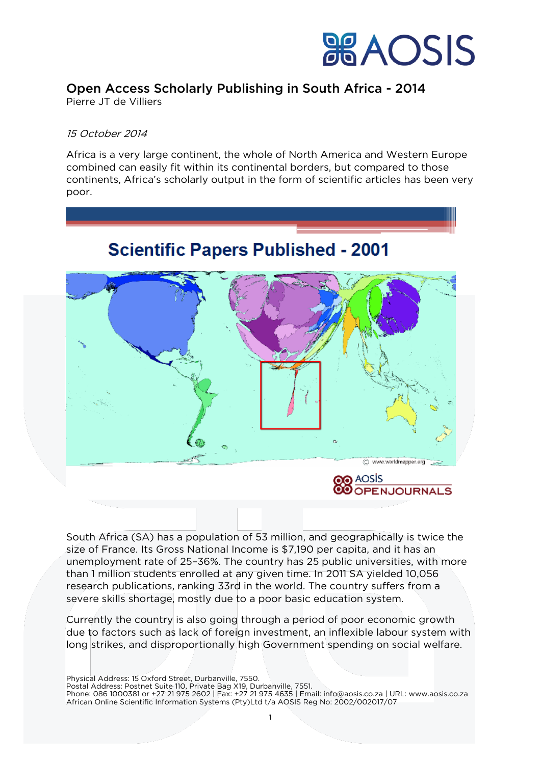

## Open Access Scholarly Publishing in South Africa - 2014

Pierre JT de Villiers

### 15 October 2014

Africa is a very large continent, the whole of North America and Western Europe combined can easily fit within its continental borders, but compared to those continents, Africa's scholarly output in the form of scientific articles has been very poor.



South Africa (SA) has a population of 53 million, and geographically is twice the size of France. Its Gross National Income is \$7,190 per capita, and it has an unemployment rate of 25–36%. The country has 25 public universities, with more than 1 million students enrolled at any given time. In 2011 SA yielded 10,056 research publications, ranking 33rd in the world. The country suffers from a severe skills shortage, mostly due to a poor basic education system.

Currently the country is also going through a period of poor economic growth due to factors such as lack of foreign investment, an inflexible labour system with long strikes, and disproportionally high Government spending on social welfare.

Physical Address: 15 Oxford Street, Durbanville, 7550. Postal Address: Postnet Suite 110, Private Bag X19, Durbanville, 7551. Phone: 086 1000381 or +27 21 975 2602 | Fax: +27 21 975 4635 | Email: info@aosis.co.za | URL: www.aosis.co.za African Online Scientific Information Systems (Pty)Ltd t/a AOSIS Reg No: 2002/002017/07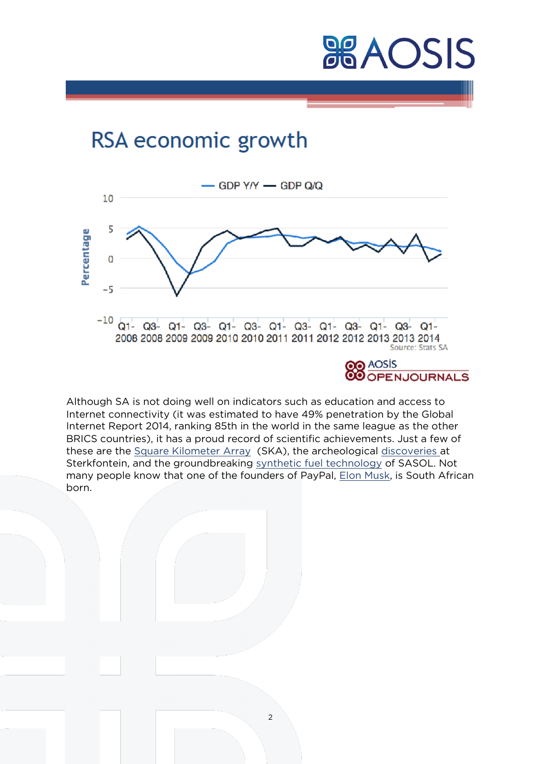## RSA economic growth



Although SA is not doing well on indicators such as education and access to Internet connectivity (it was estimated to have 49% penetration by the Global Internet Report 2014, ranking 85th in the world in the same league as the other BRICS countries), it has a proud record of scientific achievements. Just a few of these are the [Square Kilometer Array](http://www.ska.ac.za/) (SKA), the archeological [discoveries](http://www.dailymaverick.co.za/article/2011-10-14-sterkfontein-caves-75-years-of-discovery/%23.VDEuz77epbw) at Sterkfontein, and the groundbreaking [synthetic fuel technology](http://www.sasol.com/extras/12715-sasol-technology-report/) of SASOL. Not many people know that one of the founders of PayPal, [Elon Musk,](http://en.wikipedia.org/wiki/Elon_Musk) is South African born.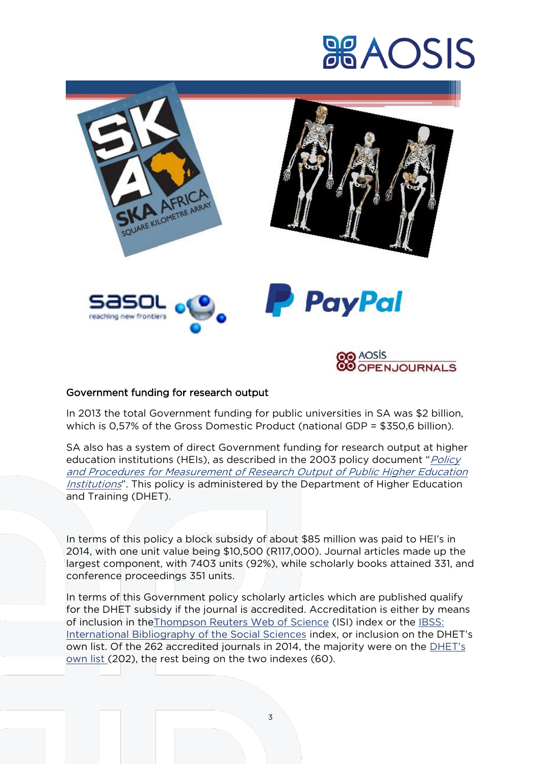

## Government funding for research output

In 2013 the total Government funding for public universities in SA was \$2 billion, which is 0,57% of the Gross Domestic Product (national GDP = \$350,6 billion).

SA also has a system of direct Government funding for research output at higher education institutions (HEIs), as described in the 2003 policy document "*Policy* [and Procedures for Measurement of Research Output of Public Higher Education](http://www.dhet.gov.za/HED%2520Policies/Policy%2520for%2520Measurement%2520of%2520Research%2520Output%2520of%2520Public%2520Higher%2520Education%2520Institutions.pdf)  [Institutions](http://www.dhet.gov.za/HED%2520Policies/Policy%2520for%2520Measurement%2520of%2520Research%2520Output%2520of%2520Public%2520Higher%2520Education%2520Institutions.pdf)". This policy is administered by the Department of Higher Education and Training (DHET).

In terms of this policy a block subsidy of about \$85 million was paid to HEI's in 2014, with one unit value being \$10,500 (R117,000). Journal articles made up the largest component, with 7403 units (92%), while scholarly books attained 331, and conference proceedings 351 units.

In terms of this Government policy scholarly articles which are published qualify for the DHET subsidy if the journal is accredited. Accreditation is either by means of inclusion in th[eThompson Reuters Web of Science](http://thomsonreuters.com/thomson-reuters-web-of-science/) (ISI) index or the [IBSS:](http://www.proquest.com/libraries/academic/databases/ibss-set-c.html)  [International Bibliography of the Social Sciences](http://www.proquest.com/libraries/academic/databases/ibss-set-c.html) index, or inclusion on the DHET's own list. Of the 262 accredited journals in 2014, the majority were on the [DHET's](http://www.assaf.co.za/wp-content/uploads/2013/04/Department-of-Higher-Education-and-Training-List-of-Approved-South-African-Journals-January-2012.pdf)  [own list](http://www.assaf.co.za/wp-content/uploads/2013/04/Department-of-Higher-Education-and-Training-List-of-Approved-South-African-Journals-January-2012.pdf) (202), the rest being on the two indexes (60).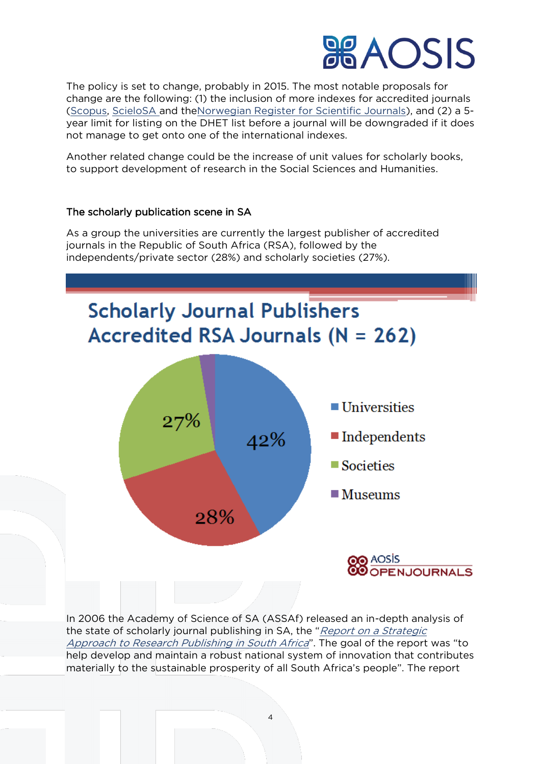The policy is set to change, probably in 2015. The most notable proposals for change are the following: (1) the inclusion of more indexes for accredited journals [\(Scopus,](http://www.elsevier.com/online-tools/scopus) [ScieloSA](http://www.scielo.org.za/) and th[eNorwegian Register for Scientific Journals\)](https://dbh.nsd.uib.no/publiseringskanaler/Forside%3Frequest_locale=en), and (2) a 5 year limit for listing on the DHET list before a journal will be downgraded if it does not manage to get onto one of the international indexes.

Another related change could be the increase of unit values for scholarly books, to support development of research in the Social Sciences and Humanities.

## The scholarly publication scene in SA

As a group the universities are currently the largest publisher of accredited journals in the Republic of South Africa (RSA), followed by the independents/private sector (28%) and scholarly societies (27%).



In 2006 the Academy of Science of SA (ASSAf) released an in-depth analysis of the state of scholarly journal publishing in SA, the "Report on a Strategic [Approach to Research Publishing in South Africa](http://www.assaf.co.za/wp-content/uploads/reports/evidence_based/assaf_strategic_research_publishing.pdf)". The goal of the report was "to help develop and maintain a robust national system of innovation that contributes materially to the sustainable prosperity of all South Africa's people". The report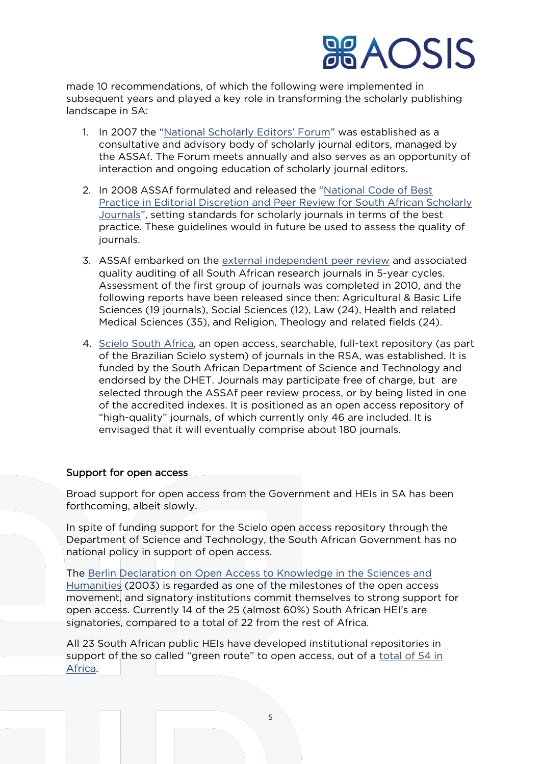made 10 recommendations, of which the following were implemented in subsequent years and played a key role in transforming the scholarly publishing landscape in SA:

- 1. In 2007 the ["National Scholarly Editors' Forum"](http://www.assaf.co.za/programmes/national-scholarly-editors%25E2%2580%2599-forum/) was established as a consultative and advisory body of scholarly journal editors, managed by the ASSAf. The Forum meets annually and also serves as an opportunity of interaction and ongoing education of scholarly journal editors.
- 2. In 2008 ASSAf formulated and released the "[National Code of Best](http://www.assaf.co.za/wp-content/uploads/2009/11/National%2520Code%2520of%2520Best%2520Practice%2520Body%2520Content.pdf)  [Practice in Editorial Discretion and Peer Review for South African Scholarly](http://www.assaf.co.za/wp-content/uploads/2009/11/National%2520Code%2520of%2520Best%2520Practice%2520Body%2520Content.pdf)  [Journals](http://www.assaf.co.za/wp-content/uploads/2009/11/National%2520Code%2520of%2520Best%2520Practice%2520Body%2520Content.pdf)", setting standards for scholarly journals in terms of the best practice. These guidelines would in future be used to assess the quality of journals.
- 3. ASSAf embarked on the [external independent peer review](http://www.assaf.co.za/programmes/peer-review-panels/) and associated quality auditing of all South African research journals in 5-year cycles. Assessment of the first group of journals was completed in 2010, and the following reports have been released since then: Agricultural & Basic Life Sciences (19 journals), Social Sciences (12), Law (24), Health and related Medical Sciences (35), and Religion, Theology and related fields (24).
- 4. [Scielo South Africa,](http://www.scielo.org.za/) an open access, searchable, full-text repository (as part of the Brazilian Scielo system) of journals in the RSA, was established. It is funded by the South African Department of Science and Technology and endorsed by the DHET. Journals may participate free of charge, but are selected through the ASSAf peer review process, or by being listed in one of the accredited indexes. It is positioned as an open access repository of "high-quality" journals, of which currently only 46 are included. It is envisaged that it will eventually comprise about 180 journals.

## Support for open access

Broad support for open access from the Government and HEIs in SA has been forthcoming, albeit slowly.

In spite of funding support for the Scielo open access repository through the Department of Science and Technology, the South African Government has no national policy in support of open access.

The [Berlin Declaration on Open Access to Knowledge in the Sciences and](http://openaccess.mpg.de/Berlin-Declaration)  [Humanities](http://openaccess.mpg.de/Berlin-Declaration) (2003) is regarded as one of the milestones of the open access movement, and signatory institutions commit themselves to strong support for open access. Currently 14 of the 25 (almost 60%) South African HEI's are signatories, compared to a total of 22 from the rest of Africa.

All 23 South African public HEIs have developed institutional repositories in support of the so called "green route" to open access, out of a [total of 54 in](http://repositories.webometrics.info/en/Ranking_africa)  [Africa.](http://repositories.webometrics.info/en/Ranking_africa)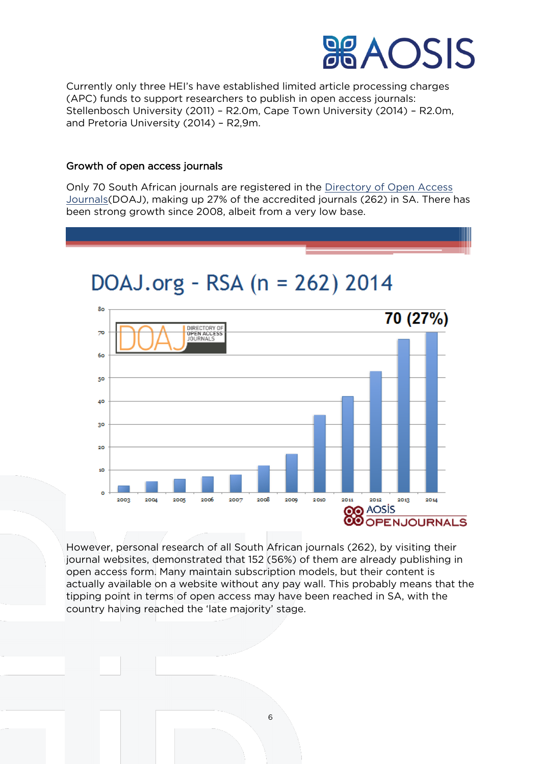

Currently only three HEI's have established limited article processing charges (APC) funds to support researchers to publish in open access journals: Stellenbosch University (2011) – R2.0m, Cape Town University (2014) – R2.0m, and Pretoria University (2014) – R2,9m.

#### Growth of open access journals

Only 70 South African journals are registered in the [Directory of Open Access](http://doaj.org/)  [Journals\(](http://doaj.org/)DOAJ), making up 27% of the accredited journals (262) in SA. There has been strong growth since 2008, albeit from a very low base.

## DOAJ.org - RSA (n = 262) 2014



However, personal research of all South African journals (262), by visiting their journal websites, demonstrated that 152 (56%) of them are already publishing in open access form. Many maintain subscription models, but their content is actually available on a website without any pay wall. This probably means that the tipping point in terms of open access may have been reached in SA, with the country having reached the 'late majority' stage.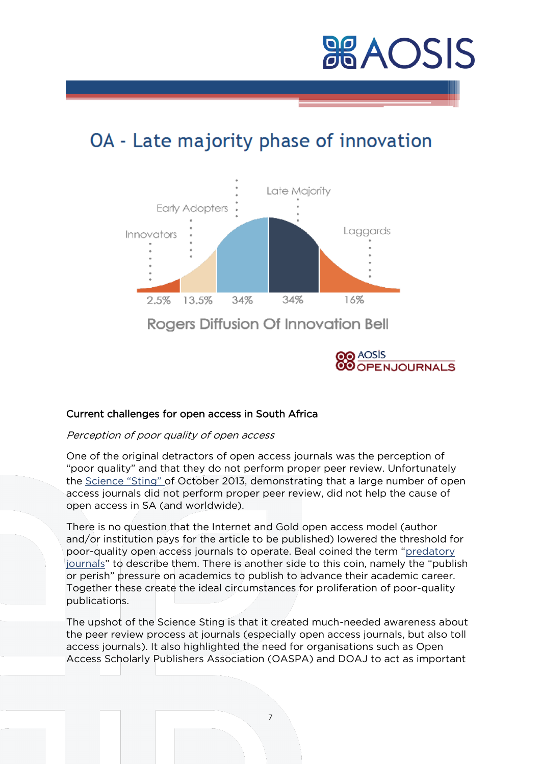

## OA - Late majority phase of innovation



## Current challenges for open access in South Africa

#### Perception of poor quality of open access

One of the original detractors of open access journals was the perception of "poor quality" and that they do not perform proper peer review. Unfortunately the [Science "Sting"](http://aosis.co.za/:http:/www.sciencemag.org/content/342/6154/60.full) of October 2013, demonstrating that a large number of open access journals did not perform proper peer review, did not help the cause of open access in SA (and worldwide).

There is no question that the Internet and Gold open access model (author and/or institution pays for the article to be published) lowered the threshold for poor-quality open access journals to operate. Beal coined the term "[predatory](http://scholarlyoa.com/2014/01/02/list-of-predatory-publishers-2014/)  [journals](http://scholarlyoa.com/2014/01/02/list-of-predatory-publishers-2014/)" to describe them. There is another side to this coin, namely the "publish or perish" pressure on academics to publish to advance their academic career. Together these create the ideal circumstances for proliferation of poor-quality publications.

The upshot of the Science Sting is that it created much-needed awareness about the peer review process at journals (especially open access journals, but also toll access journals). It also highlighted the need for organisations such as Open Access Scholarly Publishers Association (OASPA) and DOAJ to act as important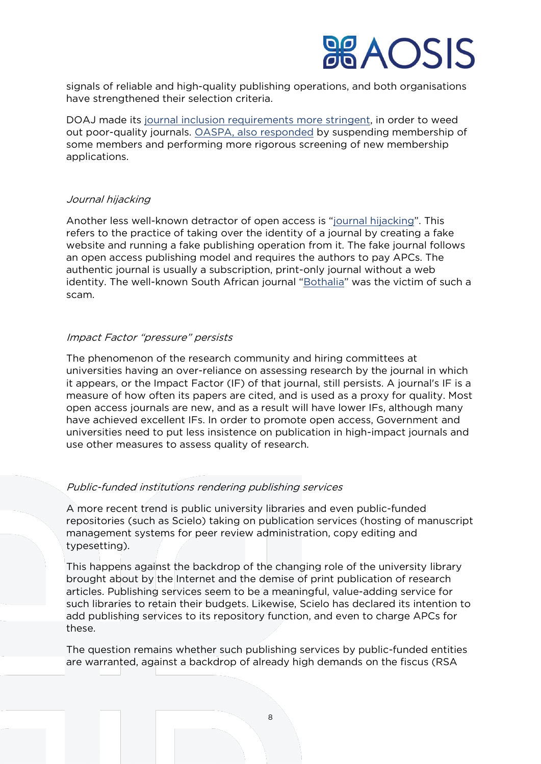signals of reliable and high-quality publishing operations, and both organisations have strengthened their selection criteria.

DOAJ made its [journal inclusion requirements more stringent,](http://openscience.com/thoughts-doaj-new-application-process/) in order to weed out poor-quality journals. [OASPA, also responded](http://oaspa.org/oaspas-second-statement-following-the-article-in-science-entitled-whos-afraid-of-peer-review/) by suspending membership of some members and performing more rigorous screening of new membership applications.

### Journal hijacking

Another less well-known detractor of open access is "journal [hijacking](http://scholarlyoa.com/%3Fs=hijack)". This refers to the practice of taking over the identity of a journal by creating a fake website and running a fake publishing operation from it. The fake journal follows an open access publishing model and requires the authors to pay APCs. The authentic journal is usually a subscription, print-only journal without a web identity. The well-known South African journal "[Bothalia](http://aosis.co.za/:http:/www.abcjournal.org/index.php/ABC)" was the victim of such a scam.

## Impact Factor "pressure" persists

The phenomenon of the research community and hiring committees at universities having an over-reliance on assessing research by the journal in which it appears, or the Impact Factor (IF) of that journal, still persists. A journal's IF is a measure of how often its papers are cited, and is used as a proxy for quality. Most open access journals are new, and as a result will have lower IFs, although many have achieved excellent IFs. In order to promote open access, Government and universities need to put less insistence on publication in high-impact journals and use other measures to assess quality of research.

## Public-funded institutions rendering publishing services

A more recent trend is public university libraries and even public-funded repositories (such as Scielo) taking on publication services (hosting of manuscript management systems for peer review administration, copy editing and typesetting).

This happens against the backdrop of the changing role of the university library brought about by the Internet and the demise of print publication of research articles. Publishing services seem to be a meaningful, value-adding service for such libraries to retain their budgets. Likewise, Scielo has declared its intention to add publishing services to its repository function, and even to charge APCs for these.

The question remains whether such publishing services by public-funded entities are warranted, against a backdrop of already high demands on the fiscus (RSA